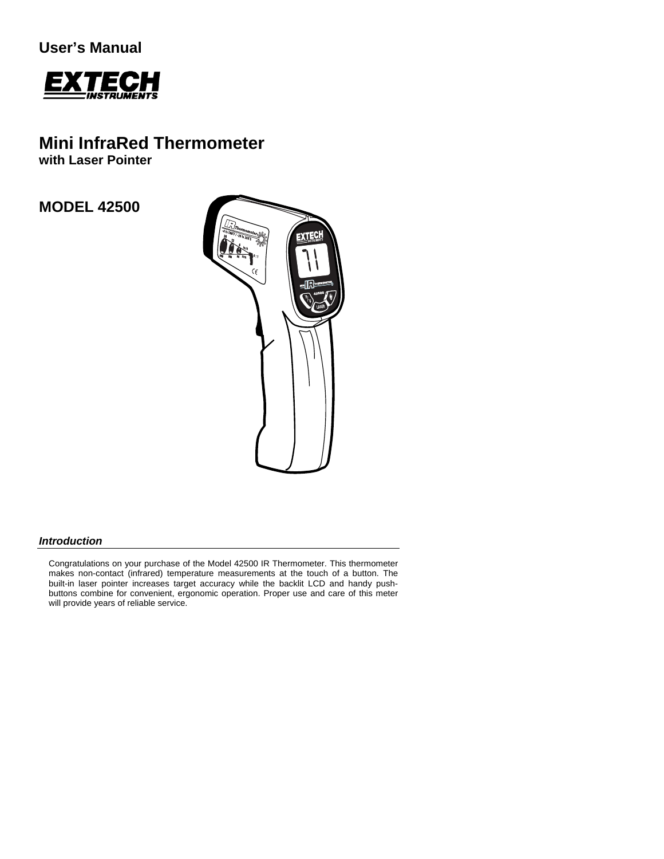**User's Manual** 



# **Mini InfraRed Thermometer**

**with Laser Pointer** 

# **MODEL 42500**



### *Introduction*

Congratulations on your purchase of the Model 42500 IR Thermometer. This thermometer makes non-contact (infrared) temperature measurements at the touch of a button. The built-in laser pointer increases target accuracy while the backlit LCD and handy pushbuttons combine for convenient, ergonomic operation. Proper use and care of this meter will provide years of reliable service.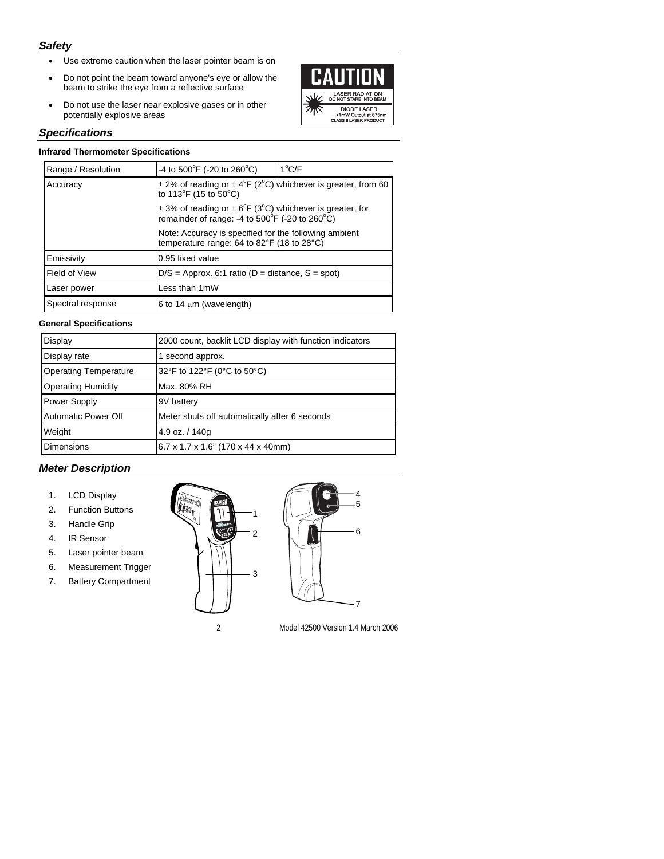## *Safety*

- Use extreme caution when the laser pointer beam is on
- Do not point the beam toward anyone's eye or allow the beam to strike the eye from a reflective surface
- Do not use the laser near explosive gases or in other potentially explosive areas



#### *Specifications*

#### **Infrared Thermometer Specifications**

| Range / Resolution | -4 to 500 $\degree$ F (-20 to 260 $\degree$ C)                                                                                                                                                                                                                                                                                                                 | $1^{\circ}$ C/F |
|--------------------|----------------------------------------------------------------------------------------------------------------------------------------------------------------------------------------------------------------------------------------------------------------------------------------------------------------------------------------------------------------|-----------------|
| Accuracy           | $\pm$ 2% of reading or $\pm$ 4 <sup>o</sup> F (2 <sup>o</sup> C) whichever is greater, from 60<br>to 113°F (15 to 50°C)<br>$\pm$ 3% of reading or $\pm$ 6°F (3°C) whichever is greater, for<br>remainder of range: -4 to $500^{\circ}$ F (-20 to 260°C)<br>Note: Accuracy is specified for the following ambient<br>temperature range: 64 to 82°F (18 to 28°C) |                 |
|                    |                                                                                                                                                                                                                                                                                                                                                                |                 |
|                    |                                                                                                                                                                                                                                                                                                                                                                |                 |
| Emissivity         | 0.95 fixed value                                                                                                                                                                                                                                                                                                                                               |                 |
| Field of View      | $D/S =$ Approx. 6:1 ratio (D = distance, S = spot)                                                                                                                                                                                                                                                                                                             |                 |
| Laser power        | Less than 1mW                                                                                                                                                                                                                                                                                                                                                  |                 |
| Spectral response  | 6 to 14 $\mu$ m (wavelength)                                                                                                                                                                                                                                                                                                                                   |                 |
|                    |                                                                                                                                                                                                                                                                                                                                                                |                 |

#### **General Specifications**

| Display                      | 2000 count, backlit LCD display with function indicators |  |
|------------------------------|----------------------------------------------------------|--|
| Display rate                 | 1 second approx.                                         |  |
| <b>Operating Temperature</b> | 32°F to 122°F (0°C to 50°C)                              |  |
| <b>Operating Humidity</b>    | Max. 80% RH                                              |  |
| Power Supply                 | 9V battery                                               |  |
| <b>Automatic Power Off</b>   | Meter shuts off automatically after 6 seconds            |  |
| Weight                       | 4.9 oz. / 140g                                           |  |
| <b>Dimensions</b>            | 6.7 x 1.7 x 1.6" (170 x 44 x 40mm)                       |  |

## *Meter Description*

- 1. LCD Display
- 2. Function Buttons
- 3. Handle Grip
- 4. IR Sensor
- 5. Laser pointer beam
- 6. Measurement Trigger
- 7. Battery Compartment





2 Model 42500 Version 1.4 March 2006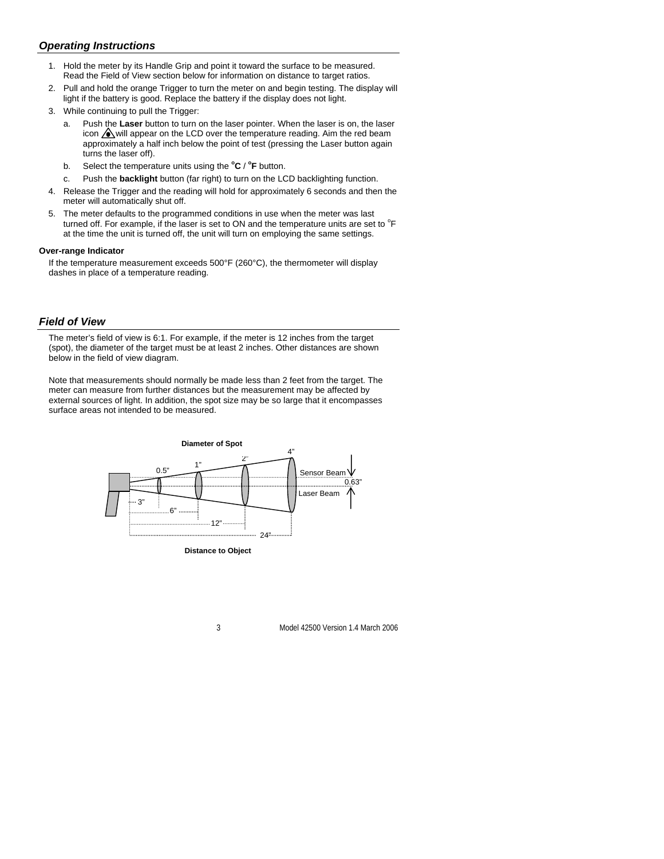## *Operating Instructions*

- 1. Hold the meter by its Handle Grip and point it toward the surface to be measured. Read the Field of View section below for information on distance to target ratios.
- 2. Pull and hold the orange Trigger to turn the meter on and begin testing. The display will light if the battery is good. Replace the battery if the display does not light.
- 3. While continuing to pull the Trigger:
	- a. Push the **Laser** button to turn on the laser pointer. When the laser is on, the laser icon  $\bigwedge$  will appear on the LCD over the temperature reading. Aim the red beam approximately a half inch below the point of test (pressing the Laser button again turns the laser off).
	- b. Select the temperature units using the  ${}^{\circ}C$  /  ${}^{\circ}F$  button.
	- c. Push the **backlight** button (far right) to turn on the LCD backlighting function.
- 4. Release the Trigger and the reading will hold for approximately 6 seconds and then the meter will automatically shut off.
- 5. The meter defaults to the programmed conditions in use when the meter was last turned off. For example, if the laser is set to ON and the temperature units are set to  ${}^{\circ}$ F at the time the unit is turned off, the unit will turn on employing the same settings.

#### **Over-range Indicator**

If the temperature measurement exceeds 500°F (260°C), the thermometer will display dashes in place of a temperature reading.

#### *Field of View*

The meter's field of view is 6:1. For example, if the meter is 12 inches from the target (spot), the diameter of the target must be at least 2 inches. Other distances are shown below in the field of view diagram.

Note that measurements should normally be made less than 2 feet from the target. The meter can measure from further distances but the measurement may be affected by external sources of light. In addition, the spot size may be so large that it encompasses surface areas not intended to be measured.



**Distance to Object**